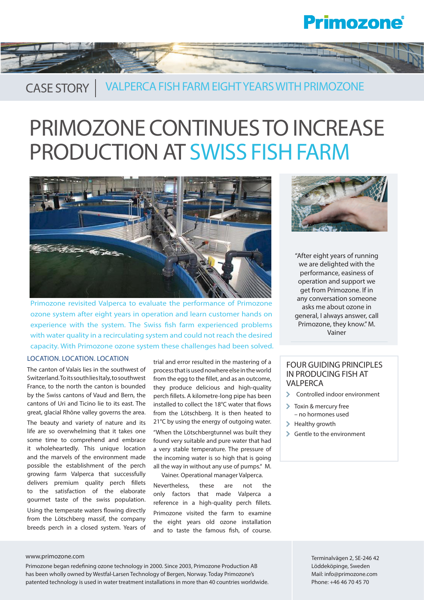## **Primozone**®



### CASE STORY | VALPERCA FISH FARM EIGHT YEARS WITH PRIMOZONE

# PRIMOZONE CONTINUES TO INCREASE PRODUCTION AT SWISS FISH FARM



Primozone revisited Valperca to evaluate the performance of Primozone ozone system after eight years in operation and learn customer hands on experience with the system. The Swiss fish farm experienced problems with water quality in a recirculating system and could not reach the desired capacity. With Primozone ozone system these challenges had been solved.

#### LOCATION. LOCATION. LOCATION

The canton of Valais lies in the southwest of Switzerland. To its south lies Italy, to southwest France, to the north the canton is bounded by the Swiss cantons of Vaud and Bern, the cantons of Uri and Ticino lie to its east. The great, glacial Rhône valley governs the area. The beauty and variety of nature and its life are so overwhelming that it takes one some time to comprehend and embrace it wholeheartedly. This unique location and the marvels of the environment made possible the establishment of the perch growing farm Valperca that successfully delivers premium quality perch fillets to the satisfaction of the elaborate gourmet taste of the swiss population. Using the temperate waters flowing directly from the Lötschberg massif, the company breeds perch in a closed system. Years of

trial and error resulted in the mastering of a process that is used nowhere else in the world from the egg to the fillet, and as an outcome, they produce delicious and high-quality perch fillets. A kilometre-long pipe has been installed to collect the 18°C water that flows from the Lötschberg. It is then heated to 21°C by using the energy of outgoing water. "When the Lötschbergtunnel was built they found very suitable and pure water that had a very stable temperature. The pressure of the incoming water is so high that is going all the way in without any use of pumps." M. Vainer. Operational manager Valperca.

Nevertheless, these are not the only factors that made Valperca a reference in a high-quality perch fillets. Primozone visited the farm to examine the eight years old ozone installation and to taste the famous fish, of course.



"After eight years of running we are delighted with the performance, easiness of operation and support we get from Primozone. If in any conversation someone asks me about ozone in general, I always answer, call Primozone, they know." M. Vainer

### FOUR GUIDING PRINCIPLES IN PRODUCING FISH AT VALPERCA

- Controlled indoor environment
- **Toxin & mercury free** – no hormones used
- $\blacktriangleright$  Healthy growth
- Gentle to the environment

#### www.primozone.com **Terminalvägen 2, SE-246 42**

Primozone began redefining ozone technology in 2000. Since 2003, Primozone Production AB has been wholly owned by Westfal-Larsen Technology of Bergen, Norway. Today Primozone's patented technology is used in water treatment installations in more than 40 countries worldwide. Löddeköpinge, Sweden Mail: info@primozone.com Phone: +46 46 70 45 70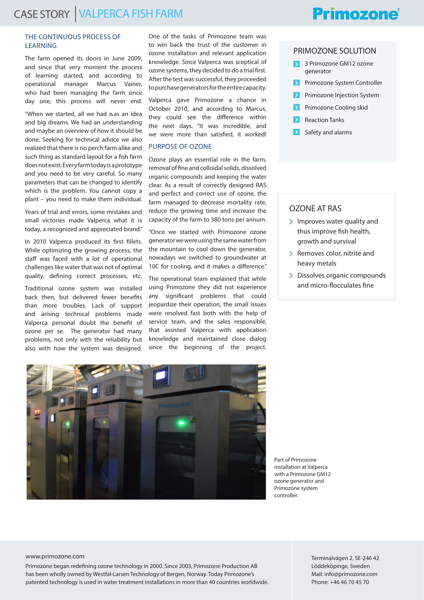#### THE CONTINUOUS PROCESS OF LEARNING

The farm opened its doors in June 2009, and since that very moment the process of learning started, and according to operational manager Marcus Vainer, who had been managing the farm since day one, this process will never end.

"When we started, all we had was an idea and big dreams. We had an understanding and maybe an overview of how it should be done. Seeking for technical advice we also realized that there is no perch farm alike and such thing as standard layout for a fish farm does not exist. Every farm today is a prototype and you need to be very careful. So many parameters that can be changed to identify which is the problem. You cannot copy a plant – you need to make them individual.

Years of trial and errors, some mistakes and small victories made Valperca what it is today, a recognized and appreciated brand."

In 2010 Valperca produced its first fillets. While optimizing the growing process, the staff was faced with a lot of operational challenges like water that was not of optimal quality, defining correct processes, etc.

Traditional ozone system was installed back then, but delivered fewer benefits than more troubles. Lack of support and arising technical problems made Valperca personal doubt the benefit of ozone per se. The generator had many problems, not only with the reliability but also with how the system was designed. One of the tasks of Primozone team was to win back the trust of the customer in ozone installation and relevant application knowledge. Since Valperca was sceptical of ozone systems, they decided to do a trial first. After the test was successful, they proceeded to purchase generators for the entire capacity.

Valperca gave Primozone a chance in October 2010, and according to Marcus, they could see the difference within the next days. "It was incredible, and we were more than satisfied, it worked!

#### PURPOSE OF OZONE

Ozone plays an essential role in the farm, removal of fine and colloidal solids, dissolved organic compounds and keeping the water clear. As a result of correctly designed RAS and perfect and correct use of ozone, the farm managed to decrease mortality rate, reduce the growing time and increase the capacity of the farm to 380 tons per annum.

"Once we started with Primozone ozone generator we were using the same water from the mountain to cool down the generator, nowadays we switched to groundwater at 10C for cooling, and it makes a difference."

The operational team explained that while using Primozone they did not experience any significant problems that could jeopardize their operation, the small issues were resolved fast both with the help of service team, and the sales responsible, that assisted Valperca with application knowledge and maintained close dialog since the beginning of the project.

### **Primozone**®

#### PRIMOZONE SOLUTION

- 3 Primozone GM12 ozone generator
- Primozone System Controller
- Primozone Injection System
- Primozone Cooling skid
- Reaction Tanks
- $\rightarrow$ Safety and alarms

#### OZONE AT RAS

- $\sum$  Improves water quality and thus improve fish health, growth and survival
- > Removes color, nitrite and heavy metals
- > Dissolves organic compounds and micro-flocculates fine



Part of Primozone installation at Valperca with a Primozone GM12 ozone generator and Primozone system controller.

Primozone began redefining ozone technology in 2000. Since 2003, Primozone Production AB has been wholly owned by Westfal-Larsen Technology of Bergen, Norway. Today Primozone's patented technology is used in water treatment installations in more than 40 countries worldwide.

www.primozone.com **Terminalvägen 2, SE-246 42** Löddeköpinge, Sweden Mail: info@primozone.com Phone: +46 46 70 45 70